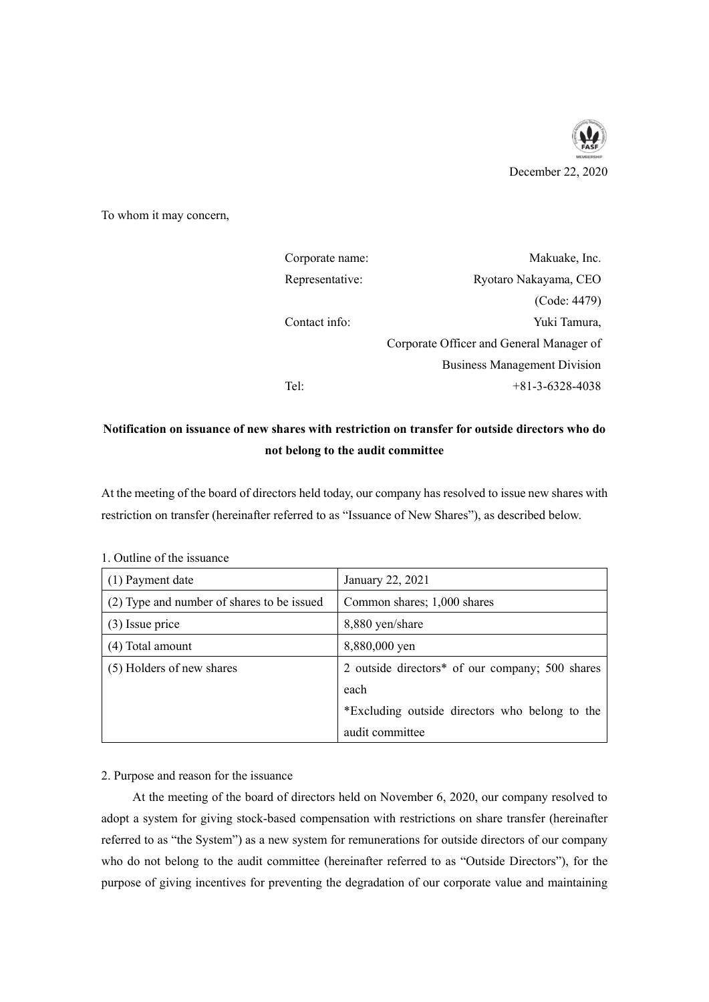

To whom it may concern,

| Corporate name: | Makuake, Inc.                            |
|-----------------|------------------------------------------|
| Representative: | Ryotaro Nakayama, CEO                    |
|                 | (Code: 4479)                             |
| Contact info:   | Yuki Tamura,                             |
|                 | Corporate Officer and General Manager of |
|                 | <b>Business Management Division</b>      |
| Tel:            | $+81 - 3 - 6328 - 4038$                  |

# **Notification on issuance of new shares with restriction on transfer for outside directors who do not belong to the audit committee**

At the meeting of the board of directors held today, our company has resolved to issue new shares with restriction on transfer (hereinafter referred to as "Issuance of New Shares"), as described below.

| (1) Payment date                           | January 22, 2021                                |
|--------------------------------------------|-------------------------------------------------|
| (2) Type and number of shares to be issued | Common shares; 1,000 shares                     |
| $(3)$ Issue price                          | 8,880 yen/share                                 |
| (4) Total amount                           | 8,880,000 yen                                   |
| (5) Holders of new shares                  | 2 outside directors* of our company; 500 shares |
|                                            | each                                            |
|                                            | *Excluding outside directors who belong to the  |
|                                            | audit committee                                 |

1. Outline of the issuance

# 2. Purpose and reason for the issuance

At the meeting of the board of directors held on November 6, 2020, our company resolved to adopt a system for giving stock-based compensation with restrictions on share transfer (hereinafter referred to as "the System") as a new system for remunerations for outside directors of our company who do not belong to the audit committee (hereinafter referred to as "Outside Directors"), for the purpose of giving incentives for preventing the degradation of our corporate value and maintaining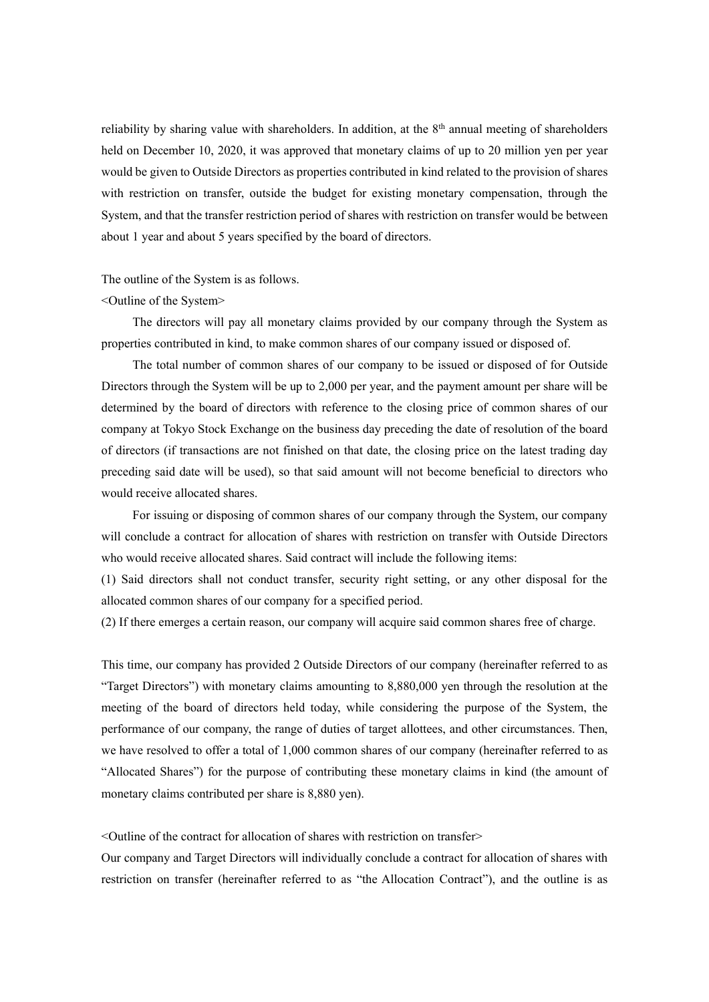reliability by sharing value with shareholders. In addition, at the  $8<sup>th</sup>$  annual meeting of shareholders held on December 10, 2020, it was approved that monetary claims of up to 20 million yen per year would be given to Outside Directors as properties contributed in kind related to the provision of shares with restriction on transfer, outside the budget for existing monetary compensation, through the System, and that the transfer restriction period of shares with restriction on transfer would be between about 1 year and about 5 years specified by the board of directors.

#### The outline of the System is as follows.

## <Outline of the System>

The directors will pay all monetary claims provided by our company through the System as properties contributed in kind, to make common shares of our company issued or disposed of.

The total number of common shares of our company to be issued or disposed of for Outside Directors through the System will be up to 2,000 per year, and the payment amount per share will be determined by the board of directors with reference to the closing price of common shares of our company at Tokyo Stock Exchange on the business day preceding the date of resolution of the board of directors (if transactions are not finished on that date, the closing price on the latest trading day preceding said date will be used), so that said amount will not become beneficial to directors who would receive allocated shares.

For issuing or disposing of common shares of our company through the System, our company will conclude a contract for allocation of shares with restriction on transfer with Outside Directors who would receive allocated shares. Said contract will include the following items:

(1) Said directors shall not conduct transfer, security right setting, or any other disposal for the allocated common shares of our company for a specified period.

(2) If there emerges a certain reason, our company will acquire said common shares free of charge.

This time, our company has provided 2 Outside Directors of our company (hereinafter referred to as "Target Directors") with monetary claims amounting to 8,880,000 yen through the resolution at the meeting of the board of directors held today, while considering the purpose of the System, the performance of our company, the range of duties of target allottees, and other circumstances. Then, we have resolved to offer a total of 1,000 common shares of our company (hereinafter referred to as "Allocated Shares") for the purpose of contributing these monetary claims in kind (the amount of monetary claims contributed per share is 8,880 yen).

 $\leq$ Outline of the contract for allocation of shares with restriction on transfer $\geq$ 

Our company and Target Directors will individually conclude a contract for allocation of shares with restriction on transfer (hereinafter referred to as "the Allocation Contract"), and the outline is as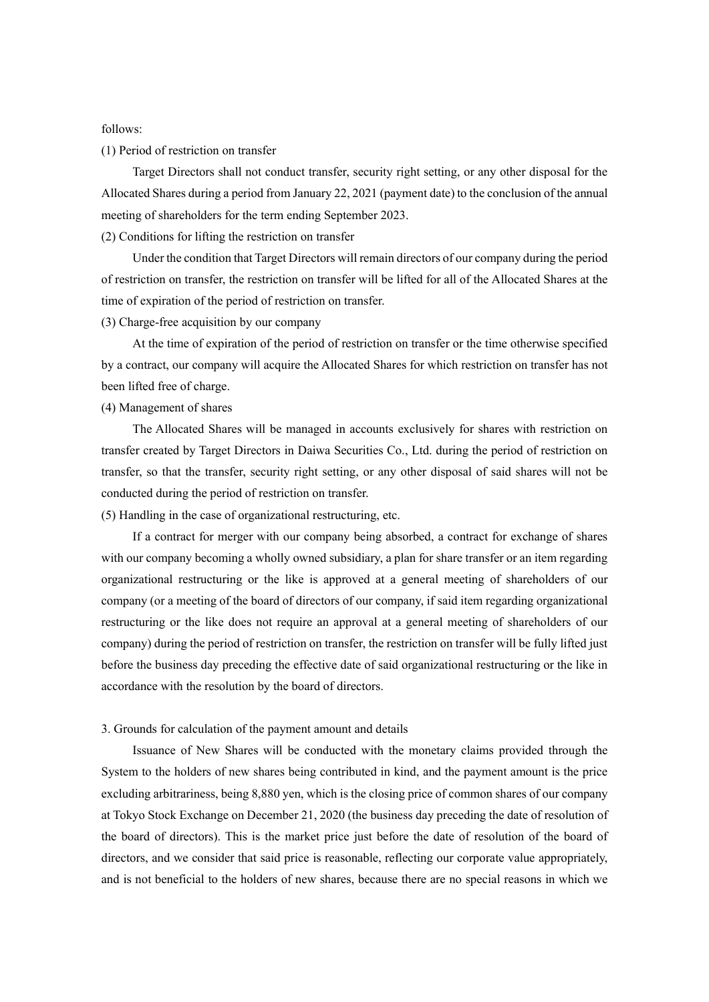#### follows:

#### (1) Period of restriction on transfer

Target Directors shall not conduct transfer, security right setting, or any other disposal for the Allocated Shares during a period from January 22, 2021 (payment date) to the conclusion of the annual meeting of shareholders for the term ending September 2023.

#### (2) Conditions for lifting the restriction on transfer

Under the condition that Target Directors will remain directors of our company during the period of restriction on transfer, the restriction on transfer will be lifted for all of the Allocated Shares at the time of expiration of the period of restriction on transfer.

## (3) Charge-free acquisition by our company

At the time of expiration of the period of restriction on transfer or the time otherwise specified by a contract, our company will acquire the Allocated Shares for which restriction on transfer has not been lifted free of charge.

#### (4) Management of shares

The Allocated Shares will be managed in accounts exclusively for shares with restriction on transfer created by Target Directors in Daiwa Securities Co., Ltd. during the period of restriction on transfer, so that the transfer, security right setting, or any other disposal of said shares will not be conducted during the period of restriction on transfer.

(5) Handling in the case of organizational restructuring, etc.

If a contract for merger with our company being absorbed, a contract for exchange of shares with our company becoming a wholly owned subsidiary, a plan for share transfer or an item regarding organizational restructuring or the like is approved at a general meeting of shareholders of our company (or a meeting of the board of directors of our company, if said item regarding organizational restructuring or the like does not require an approval at a general meeting of shareholders of our company) during the period of restriction on transfer, the restriction on transfer will be fully lifted just before the business day preceding the effective date of said organizational restructuring or the like in accordance with the resolution by the board of directors.

#### 3. Grounds for calculation of the payment amount and details

Issuance of New Shares will be conducted with the monetary claims provided through the System to the holders of new shares being contributed in kind, and the payment amount is the price excluding arbitrariness, being 8,880 yen, which is the closing price of common shares of our company at Tokyo Stock Exchange on December 21, 2020 (the business day preceding the date of resolution of the board of directors). This is the market price just before the date of resolution of the board of directors, and we consider that said price is reasonable, reflecting our corporate value appropriately, and is not beneficial to the holders of new shares, because there are no special reasons in which we